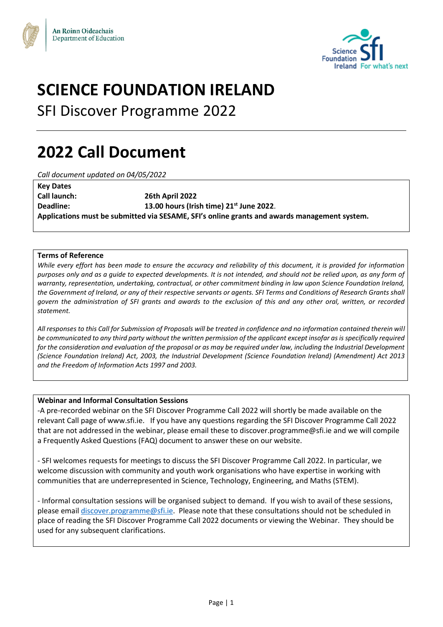



# **SCIENCE FOUNDATION IRELAND**

SFI Discover Programme 2022

# **2022 Call Document**

*Call document updated on 04/05/2022*

| <b>Key Dates</b>                                                                             |                                            |  |  |  |
|----------------------------------------------------------------------------------------------|--------------------------------------------|--|--|--|
| <b>Call launch:</b>                                                                          | <b>26th April 2022</b>                     |  |  |  |
| Deadline:                                                                                    | 13.00 hours (Irish time) $21st$ June 2022. |  |  |  |
| Applications must be submitted via SESAME, SFI's online grants and awards management system. |                                            |  |  |  |

#### **Terms of Reference**

*While every effort has been made to ensure the accuracy and reliability of this document, it is provided for information purposes only and as a guide to expected developments. It is not intended, and should not be relied upon, as any form of warranty, representation, undertaking, contractual, or other commitment binding in law upon Science Foundation Ireland, the Government of Ireland, or any of their respective servants or agents. SFI Terms and Conditions of Research Grants shall govern the administration of SFI grants and awards to the exclusion of this and any other oral, written, or recorded statement.* 

*All responses to this Call for Submission of Proposals will be treated in confidence and no information contained therein will be communicated to any third party without the written permission of the applicant except insofar as is specifically required for the consideration and evaluation of the proposal or as may be required under law, including the Industrial Development (Science Foundation Ireland) Act, 2003, the Industrial Development (Science Foundation Ireland) (Amendment) Act 2013 and the Freedom of Information Acts 1997 and 2003.* 

#### **Webinar and Informal Consultation Sessions**

-A pre-recorded webinar on the SFI Discover Programme Call 2022 will shortly be made available on the relevant Call page of www.sfi.ie. If you have any questions regarding the SFI Discover Programme Call 2022 that are not addressed in the webinar, please email these to discover.programme@sfi.ie and we will compile a Frequently Asked Questions (FAQ) document to answer these on our website.

- SFI welcomes requests for meetings to discuss the SFI Discover Programme Call 2022. In particular, we welcome discussion with community and youth work organisations who have expertise in working with communities that are underrepresented in Science, Technology, Engineering, and Maths (STEM).

- Informal consultation sessions will be organised subject to demand. If you wish to avail of these sessions, please email [discover.programme@sfi.ie.](mailto:discover.programme@sfi.ie) Please note that these consultations should not be scheduled in place of reading the SFI Discover Programme Call 2022 documents or viewing the Webinar. They should be used for any subsequent clarifications.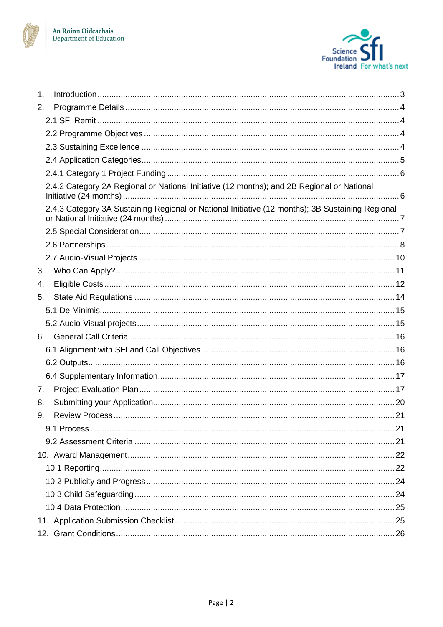



| $\mathbf 1$ . |                                                                                                  |  |
|---------------|--------------------------------------------------------------------------------------------------|--|
| 2.            |                                                                                                  |  |
|               |                                                                                                  |  |
|               |                                                                                                  |  |
|               |                                                                                                  |  |
|               |                                                                                                  |  |
|               |                                                                                                  |  |
|               | 2.4.2 Category 2A Regional or National Initiative (12 months); and 2B Regional or National       |  |
|               | 2.4.3 Category 3A Sustaining Regional or National Initiative (12 months); 3B Sustaining Regional |  |
|               |                                                                                                  |  |
|               |                                                                                                  |  |
|               |                                                                                                  |  |
| 3.            |                                                                                                  |  |
| 4.            |                                                                                                  |  |
| 5.            |                                                                                                  |  |
|               |                                                                                                  |  |
|               |                                                                                                  |  |
| 6.            |                                                                                                  |  |
|               |                                                                                                  |  |
|               |                                                                                                  |  |
|               |                                                                                                  |  |
| 7.            |                                                                                                  |  |
| 8.            |                                                                                                  |  |
| 9.            |                                                                                                  |  |
|               |                                                                                                  |  |
|               |                                                                                                  |  |
|               |                                                                                                  |  |
|               |                                                                                                  |  |
|               |                                                                                                  |  |
|               |                                                                                                  |  |
|               |                                                                                                  |  |
|               |                                                                                                  |  |
|               |                                                                                                  |  |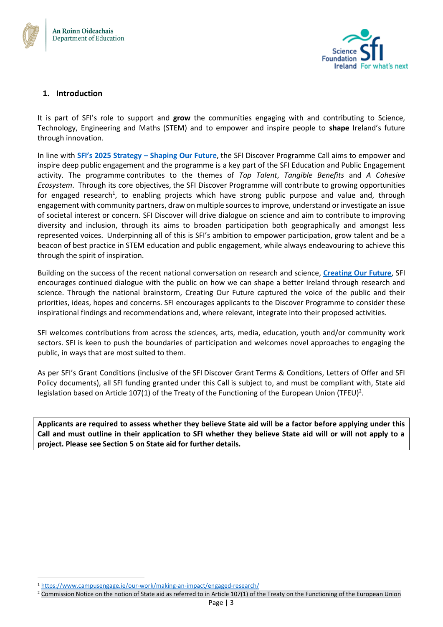



## <span id="page-2-0"></span>**1. Introduction**

It is part of SFI's role to support and **grow** the communities engaging with and contributing to Science, Technology, Engineering and Maths (STEM) and to empower and inspire people to **shape** Ireland's future through innovation.

In line with **[SFI's 2025 Strategy –](https://www.sfi.ie/strategy/) Shaping Our Future**, the SFI Discover Programme Call aims to empower and inspire deep public engagement and the programme is a key part of the SFI Education and Public Engagement activity. The programme contributes to the themes of *Top Talent*, *Tangible Benefits* and *A Cohesive Ecosystem*. Through its core objectives, the SFI Discover Programme will contribute to growing opportunities for engaged research<sup>1</sup>, to enabling projects which have strong public purpose and value and, through engagement with community partners, draw on multiple sourcesto improve, understand or investigate an issue of societal interest or concern. SFI Discover will drive dialogue on science and aim to contribute to improving diversity and inclusion, through its aims to broaden participation both geographically and amongst less represented voices. Underpinning all of this is SFI's ambition to empower participation, grow talent and be a beacon of best practice in STEM education and public engagement, while always endeavouring to achieve this through the spirit of inspiration.

Building on the success of the recent national conversation on research and science, **[Creating Our Future](https://creatingourfuture.ie/)**, SFI encourages continued dialogue with the public on how we can shape a better Ireland through research and science. Through the national brainstorm, Creating Our Future captured the voice of the public and their priorities, ideas, hopes and concerns. SFI encourages applicants to the Discover Programme to consider these inspirational findings and recommendations and, where relevant, integrate into their proposed activities.

SFI welcomes contributions from across the sciences, arts, media, education, youth and/or community work sectors. SFI is keen to push the boundaries of participation and welcomes novel approaches to engaging the public, in ways that are most suited to them.

As per SFI's Grant Conditions (inclusive of the SFI Discover Grant Terms & Conditions, Letters of Offer and SFI Policy documents), all SFI funding granted under this Call is subject to, and must be compliant with, State aid legislation based on Article 107(1) of the Treaty of the Functioning of the European Union (TFEU)<sup>2</sup>.

**Applicants are required to assess whether they believe State aid will be a factor before applying under this Call and must outline in their application to SFI whether they believe State aid will or will not apply to a project. Please see Section 5 on State aid for further details.**

<sup>1</sup> <https://www.campusengage.ie/our-work/making-an-impact/engaged-research/>

 $2$  [Commission Notice on the notion of State aid as referred to in Article 107\(1\) of the Treaty on the Functioning of the European Union](https://eur-lex.europa.eu/legal-content/EN/TXT/PDF/?uri=CELEX:52016XC0719(05)&from=EN)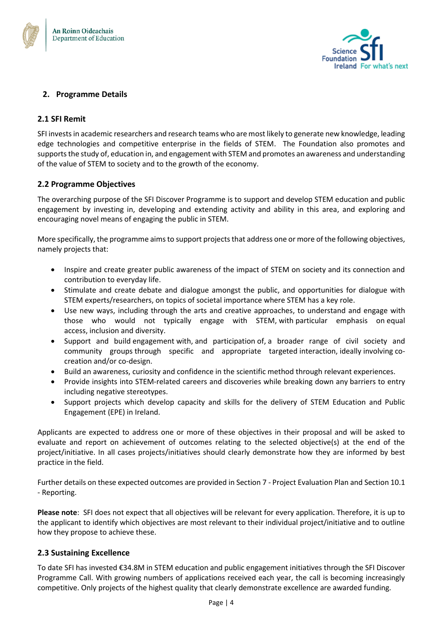



## <span id="page-3-0"></span>**2. Programme Details**

#### <span id="page-3-1"></span>**2.1 SFI Remit**

SFI invests in academic researchers and research teams who are most likely to generate new knowledge, leading edge technologies and competitive enterprise in the fields of STEM. The Foundation also promotes and supports the study of, education in, and engagement with STEM and promotes an awareness and understanding of the value of STEM to society and to the growth of the economy.

#### <span id="page-3-2"></span>**2.2 Programme Objectives**

The overarching purpose of the SFI Discover Programme is to support and develop STEM education and public engagement by investing in, developing and extending activity and ability in this area, and exploring and encouraging novel means of engaging the public in STEM.

More specifically, the programme aims to support projects that address one or more of the following objectives, namely projects that:

- Inspire and create greater public awareness of the impact of STEM on society and its connection and contribution to everyday life.
- Stimulate and create debate and dialogue amongst the public, and opportunities for dialogue with STEM experts/researchers, on topics of societal importance where STEM has a key role.
- Use new ways, including through the arts and creative approaches, to understand and engage with those who would not typically engage with STEM, with particular emphasis on equal access, inclusion and diversity.
- Support and build engagement with, and participation of, a broader range of civil society and community groups through specific and appropriate targeted interaction, ideally involving cocreation and/or co-design.
- Build an awareness, curiosity and confidence in the scientific method through relevant experiences.
- Provide insights into STEM-related careers and discoveries while breaking down any barriers to entry including negative stereotypes.
- Support projects which develop capacity and skills for the delivery of STEM Education and Public Engagement (EPE) in Ireland.

Applicants are expected to address one or more of these objectives in their proposal and will be asked to evaluate and report on achievement of outcomes relating to the selected objective(s) at the end of the project/initiative. In all cases projects/initiatives should clearly demonstrate how they are informed by best practice in the field.

Further details on these expected outcomes are provided in Section 7 - Project Evaluation Plan and Section 10.1 - Reporting.

**Please note**: SFI does not expect that all objectives will be relevant for every application. Therefore, it is up to the applicant to identify which objectives are most relevant to their individual project/initiative and to outline how they propose to achieve these.

#### <span id="page-3-3"></span>**2.3 Sustaining Excellence**

To date SFI has invested €34.8M in STEM education and public engagement initiatives through the SFI Discover Programme Call. With growing numbers of applications received each year, the call is becoming increasingly competitive. Only projects of the highest quality that clearly demonstrate excellence are awarded funding.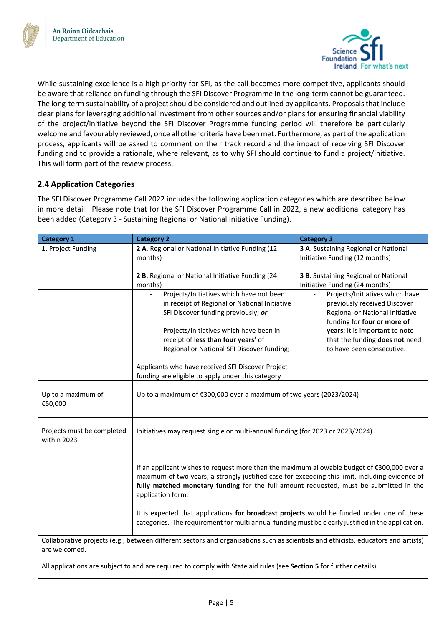

While sustaining excellence is a high priority for SFI, as the call becomes more competitive, applicants should be aware that reliance on funding through the SFI Discover Programme in the long-term cannot be guaranteed. The long-term sustainability of a project should be considered and outlined by applicants. Proposals that include clear plans for leveraging additional investment from other sources and/or plans for ensuring financial viability of the project/initiative beyond the SFI Discover Programme funding period will therefore be particularly welcome and favourably reviewed, once all other criteria have been met. Furthermore, as part of the application process, applicants will be asked to comment on their track record and the impact of receiving SFI Discover funding and to provide a rationale, where relevant, as to why SFI should continue to fund a project/initiative. This will form part of the review process.

# <span id="page-4-0"></span>**2.4 Application Categories**

The SFI Discover Programme Call 2022 includes the following application categories which are described below in more detail. Please note that for the SFI Discover Programme Call in 2022, a new additional category has been added (Category 3 - Sustaining Regional or National Initiative Funding).

| <b>Category 1</b>                                                                                                                  | <b>Category 2</b>                                                                                                                                                                                              | <b>Category 3</b>                                              |  |  |
|------------------------------------------------------------------------------------------------------------------------------------|----------------------------------------------------------------------------------------------------------------------------------------------------------------------------------------------------------------|----------------------------------------------------------------|--|--|
| 1. Project Funding                                                                                                                 | 2 A. Regional or National Initiative Funding (12                                                                                                                                                               | 3 A. Sustaining Regional or National                           |  |  |
|                                                                                                                                    | months)                                                                                                                                                                                                        | Initiative Funding (12 months)                                 |  |  |
|                                                                                                                                    | 2 B. Regional or National Initiative Funding (24                                                                                                                                                               | 3 B. Sustaining Regional or National                           |  |  |
|                                                                                                                                    | months)                                                                                                                                                                                                        | Initiative Funding (24 months)                                 |  |  |
|                                                                                                                                    | Projects/Initiatives which have not been                                                                                                                                                                       | Projects/Initiatives which have                                |  |  |
|                                                                                                                                    | in receipt of Regional or National Initiative                                                                                                                                                                  | previously received Discover                                   |  |  |
|                                                                                                                                    | SFI Discover funding previously; or                                                                                                                                                                            | Regional or National Initiative<br>funding for four or more of |  |  |
|                                                                                                                                    | Projects/Initiatives which have been in                                                                                                                                                                        | years; It is important to note                                 |  |  |
|                                                                                                                                    | receipt of less than four years' of                                                                                                                                                                            | that the funding does not need                                 |  |  |
|                                                                                                                                    | Regional or National SFI Discover funding;                                                                                                                                                                     | to have been consecutive.                                      |  |  |
|                                                                                                                                    | Applicants who have received SFI Discover Project                                                                                                                                                              |                                                                |  |  |
|                                                                                                                                    | funding are eligible to apply under this category                                                                                                                                                              |                                                                |  |  |
|                                                                                                                                    |                                                                                                                                                                                                                |                                                                |  |  |
| Up to a maximum of                                                                                                                 | Up to a maximum of €300,000 over a maximum of two years (2023/2024)                                                                                                                                            |                                                                |  |  |
| €50,000                                                                                                                            |                                                                                                                                                                                                                |                                                                |  |  |
|                                                                                                                                    |                                                                                                                                                                                                                |                                                                |  |  |
| Projects must be completed                                                                                                         | Initiatives may request single or multi-annual funding (for 2023 or 2023/2024)                                                                                                                                 |                                                                |  |  |
| within 2023                                                                                                                        |                                                                                                                                                                                                                |                                                                |  |  |
|                                                                                                                                    |                                                                                                                                                                                                                |                                                                |  |  |
|                                                                                                                                    | If an applicant wishes to request more than the maximum allowable budget of €300,000 over a                                                                                                                    |                                                                |  |  |
|                                                                                                                                    | maximum of two years, a strongly justified case for exceeding this limit, including evidence of<br>fully matched monetary funding for the full amount requested, must be submitted in the<br>application form. |                                                                |  |  |
|                                                                                                                                    |                                                                                                                                                                                                                |                                                                |  |  |
|                                                                                                                                    |                                                                                                                                                                                                                |                                                                |  |  |
|                                                                                                                                    | It is expected that applications for broadcast projects would be funded under one of these                                                                                                                     |                                                                |  |  |
|                                                                                                                                    | categories. The requirement for multi annual funding must be clearly justified in the application.                                                                                                             |                                                                |  |  |
| Collaborative projects (e.g., between different sectors and organisations such as scientists and ethicists, educators and artists) |                                                                                                                                                                                                                |                                                                |  |  |
| are welcomed.                                                                                                                      |                                                                                                                                                                                                                |                                                                |  |  |
| All applications are subject to and are required to comply with State aid rules (see Section 5 for further details)                |                                                                                                                                                                                                                |                                                                |  |  |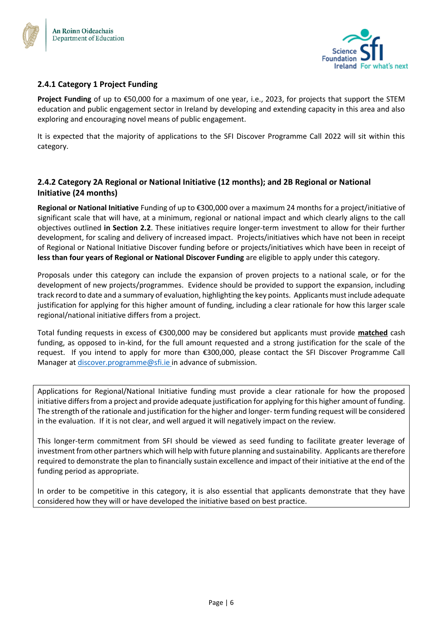



# <span id="page-5-0"></span>**2.4.1 Category 1 Project Funding**

**Project Funding** of up to €50,000 for a maximum of one year, i.e., 2023, for projects that support the STEM education and public engagement sector in Ireland by developing and extending capacity in this area and also exploring and encouraging novel means of public engagement.

It is expected that the majority of applications to the SFI Discover Programme Call 2022 will sit within this category.

## <span id="page-5-1"></span>**2.4.2 Category 2A Regional or National Initiative (12 months); and 2B Regional or National Initiative (24 months)**

**Regional or National Initiative** Funding of up to €300,000 over a maximum 24 months for a project/initiative of significant scale that will have, at a minimum, regional or national impact and which clearly aligns to the call objectives outlined **in Section 2.2**. These initiatives require longer-term investment to allow for their further development, for scaling and delivery of increased impact. Projects/initiatives which have not been in receipt of Regional or National Initiative Discover funding before or projects/initiatives which have been in receipt of **less than four years of Regional or National Discover Funding** are eligible to apply under this category.

Proposals under this category can include the expansion of proven projects to a national scale, or for the development of new projects/programmes. Evidence should be provided to support the expansion, including track record to date and a summary of evaluation, highlighting the key points. Applicants must include adequate justification for applying for this higher amount of funding, including a clear rationale for how this larger scale regional/national initiative differs from a project.

Total funding requests in excess of €300,000 may be considered but applicants must provide **matched** cash funding, as opposed to in-kind, for the full amount requested and a strong justification for the scale of the request. If you intend to apply for more than €300,000, please contact the SFI Discover Programme Call Manager a[t discover.programme@sfi.ie](mailto:discover.programme@sfi.ie) in advance of submission.

Applications for Regional/National Initiative funding must provide a clear rationale for how the proposed initiative differs from a project and provide adequate justification for applying for this higher amount of funding. The strength of the rationale and justification for the higher and longer- term funding request will be considered in the evaluation. If it is not clear, and well argued it will negatively impact on the review.

This longer-term commitment from SFI should be viewed as seed funding to facilitate greater leverage of investment from other partners which will help with future planning and sustainability. Applicants are therefore required to demonstrate the plan to financially sustain excellence and impact of their initiative at the end of the funding period as appropriate.

In order to be competitive in this category, it is also essential that applicants demonstrate that they have considered how they will or have developed the initiative based on best practice.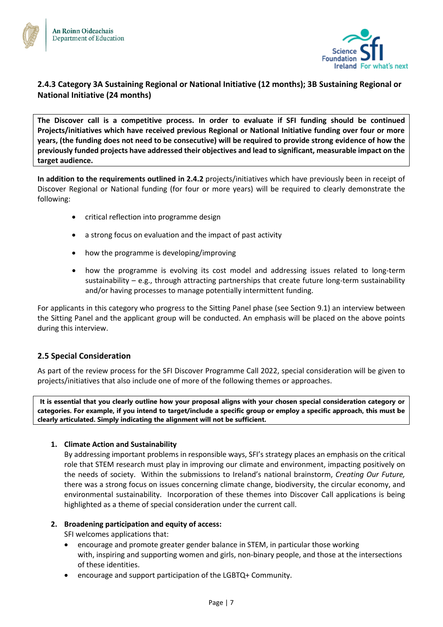



# <span id="page-6-0"></span>**2.4.3 Category 3A Sustaining Regional or National Initiative (12 months); 3B Sustaining Regional or National Initiative (24 months)**

**The Discover call is a competitive process. In order to evaluate if SFI funding should be continued Projects/initiatives which have received previous Regional or National Initiative funding over four or more years, (the funding does not need to be consecutive) will be required to provide strong evidence of how the previously funded projects have addressed their objectives and lead to significant, measurable impact on the target audience.** 

**In addition to the requirements outlined in 2.4.2** projects/initiatives which have previously been in receipt of Discover Regional or National funding (for four or more years) will be required to clearly demonstrate the following:

- critical reflection into programme design
- a strong focus on evaluation and the impact of past activity
- how the programme is developing/improving
- how the programme is evolving its cost model and addressing issues related to long-term sustainability – e.g., through attracting partnerships that create future long-term sustainability and/or having processes to manage potentially intermittent funding.

For applicants in this category who progress to the Sitting Panel phase (see Section 9.1) an interview between the Sitting Panel and the applicant group will be conducted. An emphasis will be placed on the above points during this interview.

## <span id="page-6-1"></span>**2.5 Special Consideration**

As part of the review process for the SFI Discover Programme Call 2022, special consideration will be given to projects/initiatives that also include one of more of the following themes or approaches.

**It is essential that you clearly outline how your proposal aligns with your chosen special consideration category or categories. For example, if you intend to target/include a specific group or employ a specific approach, this must be clearly articulated. Simply indicating the alignment will not be sufficient.**

#### **1. Climate Action and Sustainability**

By addressing important problems in responsible ways, SFI's strategy places an emphasis on the critical role that STEM research must play in improving our climate and environment, impacting positively on the needs of society. Within the submissions to Ireland's national brainstorm, *Creating Our Future,* there was a strong focus on issues concerning climate change, biodiversity, the circular economy, and environmental sustainability. Incorporation of these themes into Discover Call applications is being highlighted as a theme of special consideration under the current call.

#### **2. Broadening participation and equity of access:**

SFI welcomes applications that:

- encourage and promote greater gender balance in STEM, in particular those working with, inspiring and supporting women and girls, non-binary people, and those at the intersections of these identities.
- encourage and support participation of the LGBTQ+ Community.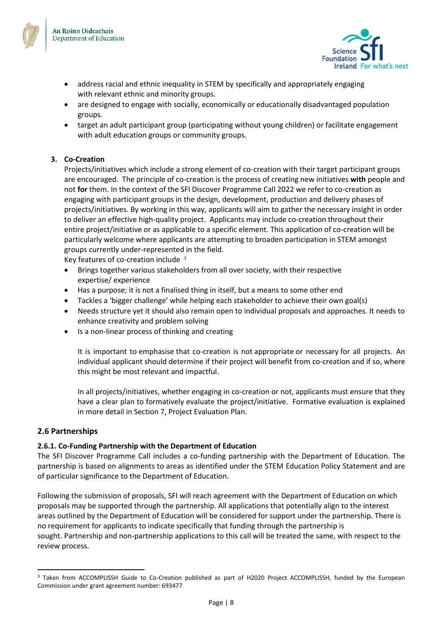



- address racial and ethnic inequality in STEM by specifically and appropriately engaging with relevant ethnic and minority groups.
- are designed to engage with socially, economically or educationally disadvantaged population groups.
- target an adult participant group (participating without young children) or facilitate engagement with adult education groups or community groups.

## **3. Co-Creation**

Projects/initiatives which include a strong element of co-creation with their target participant groups are encouraged. The principle of co-creation is the process of creating new initiatives **with** people and not **for** them. In the context of the SFI Discover Programme Call 2022 we refer to co-creation as engaging with participant groups in the design, development, production and delivery phases of projects/initiatives. By working in this way, applicants will aim to gather the necessary insight in order to deliver an effective high-quality project. Applicants may include co-creation throughout their entire project/initiative or as applicable to a specific element. This application of co-creation will be particularly welcome where applicants are attempting to broaden participation in STEM amongst groups currently under-represented in the field.

Key features of co-creation include <sup>3</sup>

- Brings together various stakeholders from all over society, with their respective expertise/ experience
- Has a purpose; it is not a finalised thing in itself, but a means to some other end
- Tackles a 'bigger challenge' while helping each stakeholder to achieve their own goal(s)
- Needs structure yet it should also remain open to individual proposals and approaches. It needs to enhance creativity and problem solving
- Is a non-linear process of thinking and creating

It is important to emphasise that co-creation is not appropriate or necessary for all projects. An individual applicant should determine if their project will benefit from co-creation and if so, where this might be most relevant and impactful.

In all projects/initiatives, whether engaging in co-creation or not, applicants must ensure that they have a clear plan to formatively evaluate the project/initiative. Formative evaluation is explained in more detail in Section 7, Project Evaluation Plan.

## <span id="page-7-0"></span>**2.6 Partnerships**

## **2.6.1. Co-Funding Partnership with the Department of Education**

The SFI Discover Programme Call includes a co-funding partnership with the Department of Education. The partnership is based on alignments to areas as identified under the STEM Education Policy Statement and are of particular significance to the Department of Education.

Following the submission of proposals, SFI will reach agreement with the Department of Education on which proposals may be supported through the partnership. All applications that potentially align to the interest areas outlined by the Department of Education will be considered for support under the partnership. There is no requirement for applicants to indicate specifically that funding through the partnership is sought. Partnership and non-partnership applications to this call will be treated the same, with respect to the review process. 

<sup>&</sup>lt;sup>3</sup> Taken from ACCOMPLISSH Guide to Co-Creation published as part of H2020 Project ACCOMPLISSH, funded by the European Commission under grant agreement number: 693477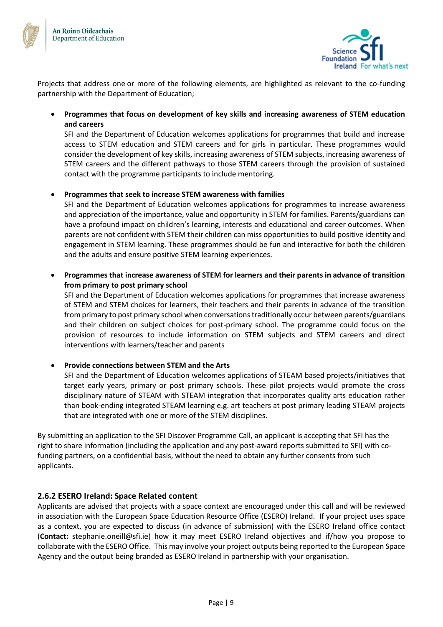



Projects that address one or more of the following elements, are highlighted as relevant to the co-funding partnership with the Department of Education;

• **Programmes that focus on development of key skills and increasing awareness of STEM education and careers** 

SFI and the Department of Education welcomes applications for programmes that build and increase access to STEM education and STEM careers and for girls in particular. These programmes would consider the development of key skills, increasing awareness of STEM subjects, increasing awareness of STEM careers and the different pathways to those STEM careers through the provision of sustained contact with the programme participants to include mentoring.

## • **Programmes that seek to increase STEM awareness with families**

SFI and the Department of Education welcomes applications for programmes to increase awareness and appreciation of the importance, value and opportunity in STEM for families. Parents/guardians can have a profound impact on children's learning, interests and educational and career outcomes. When parents are not confident with STEM their children can miss opportunities to build positive identity and engagement in STEM learning. These programmes should be fun and interactive for both the children and the adults and ensure positive STEM learning experiences.

• **Programmes that increase awareness of STEM for learners and their parents in advance of transition from primary to post primary school**

SFI and the Department of Education welcomes applications for programmes that increase awareness of STEM and STEM choices for learners, their teachers and their parents in advance of the transition from primary to post primary school when conversations traditionally occur between parents/guardians and their children on subject choices for post-primary school. The programme could focus on the provision of resources to include information on STEM subjects and STEM careers and direct interventions with learners/teacher and parents

## • **Provide connections between STEM and the Arts**

SFI and the Department of Education welcomes applications of STEAM based projects/initiatives that target early years, primary or post primary schools. These pilot projects would promote the cross disciplinary nature of STEAM with STEAM integration that incorporates quality arts education rather than book-ending integrated STEAM learning e.g. art teachers at post primary leading STEAM projects that are integrated with one or more of the STEM disciplines.

By submitting an application to the SFI Discover Programme Call, an applicant is accepting that SFI has the right to share information (including the application and any post-award reports submitted to SFI) with cofunding partners, on a confidential basis, without the need to obtain any further consents from such applicants.

## **2.6.2 ESERO Ireland: Space Related content**

Applicants are advised that projects with a space context are encouraged under this call and will be reviewed in association with the European Space Education Resource Office (ESERO) Ireland. If your project uses space as a context, you are expected to discuss (in advance of submission) with the ESERO Ireland office contact (**Contact:** stephanie.oneill@sfi.ie) how it may meet ESERO Ireland objectives and if/how you propose to collaborate with the ESERO Office. This may involve your project outputs being reported to the European Space Agency and the output being branded as ESERO Ireland in partnership with your organisation.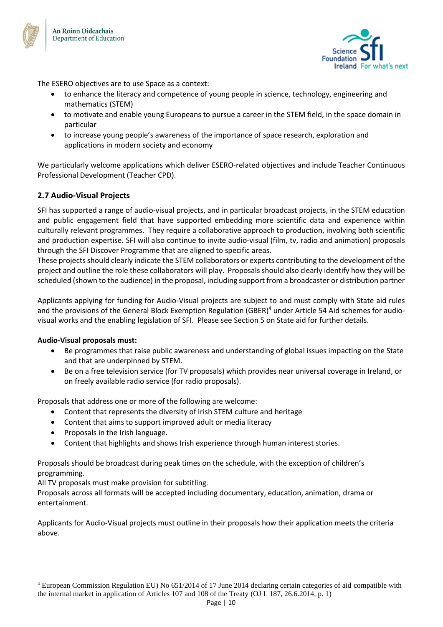



The ESERO objectives are to use Space as a context:

- to enhance the literacy and competence of young people in science, technology, engineering and mathematics (STEM)
- to motivate and enable young Europeans to pursue a career in the STEM field, in the space domain in particular
- to increase young people's awareness of the importance of space research, exploration and applications in modern society and economy

We particularly welcome applications which deliver ESERO-related objectives and include Teacher Continuous Professional Development (Teacher CPD).

## <span id="page-9-0"></span>**2.7 Audio-Visual Projects**

SFI has supported a range of audio-visual projects, and in particular broadcast projects, in the STEM education and public engagement field that have supported embedding more scientific data and experience within culturally relevant programmes. They require a collaborative approach to production, involving both scientific and production expertise. SFI will also continue to invite audio-visual (film, tv, radio and animation) proposals through the SFI Discover Programme that are aligned to specific areas.

These projects should clearly indicate the STEM collaborators or experts contributing to the development of the project and outline the role these collaborators will play. Proposals should also clearly identify how they will be scheduled (shown to the audience) in the proposal, including support from a broadcaster or distribution partner

Applicants applying for funding for Audio-Visual projects are subject to and must comply with State aid rules and the provisions of the General Block Exemption Regulation (GBER)<sup>4</sup> under Article 54 Aid schemes for audiovisual works and the enabling legislation of SFI. Please see Section 5 on State aid for further details.

## **Audio-Visual proposals must:**

- Be programmes that raise public awareness and understanding of global issues impacting on the State and that are underpinned by STEM.
- Be on a free television service (for TV proposals) which provides near universal coverage in Ireland, or on freely available radio service (for radio proposals).

Proposals that address one or more of the following are welcome:

- Content that represents the diversity of Irish STEM culture and heritage
- Content that aims to support improved adult or media literacy
- Proposals in the Irish language.
- Content that highlights and shows Irish experience through human interest stories.

Proposals should be broadcast during peak times on the schedule, with the exception of children's programming.

All TV proposals must make provision for subtitling.

Proposals across all formats will be accepted including documentary, education, animation, drama or entertainment.

Applicants for Audio-Visual projects must outline in their proposals how their application meets the criteria above.

<sup>4</sup> European Commission Regulation EU) No 651/2014 of 17 June 2014 declaring certain categories of aid compatible with the internal market in application of Articles 107 and 108 of the Treaty (OJ L 187, 26.6.2014, p. 1)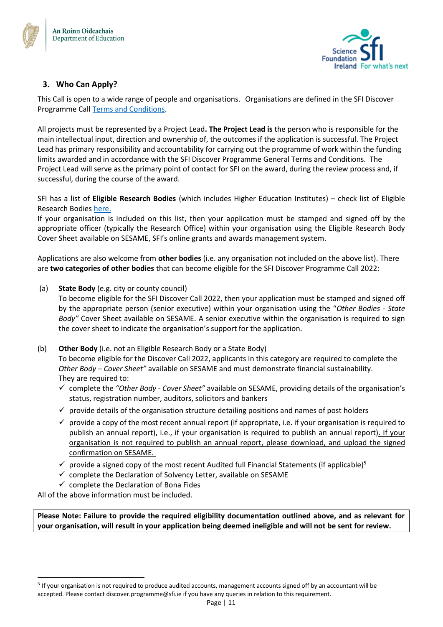



# <span id="page-10-0"></span>**3. Who Can Apply?**

This Call is open to a wide range of people and organisations. Organisations are defined in the SFI Discover Programme Call [Terms and Conditions.](https://www.sfi.ie/funding/sfi-policies-and-guidance/sfi-general-terms-and-conditions/)

All projects must be represented by a Project Lead**. The Project Lead is** the person who is responsible for the main intellectual input, direction and ownership of, the outcomes if the application is successful. The Project Lead has primary responsibility and accountability for carrying out the programme of work within the funding limits awarded and in accordance with the SFI Discover Programme General Terms and Conditions. The Project Lead will serve as the primary point of contact for SFI on the award, during the review process and, if successful, during the course of the award.

SFI has a list of **Eligible Research Bodies** (which includes Higher Education Institutes) – check list of Eligible Research Bodies [here.](https://www.sfi.ie/funding/sfi-policies-and-guidance/eligibility-related-information/)

If your organisation is included on this list, then your application must be stamped and signed off by the appropriate officer (typically the Research Office) within your organisation using the Eligible Research Body Cover Sheet available on SESAME, SFI's online grants and awards management system.

Applications are also welcome from **other bodies** (i.e. any organisation not included on the above list). There are **two categories of other bodies** that can become eligible for the SFI Discover Programme Call 2022:

(a) **State Body** (e.g. city or county council)

To become eligible for the SFI Discover Call 2022, then your application must be stamped and signed off by the appropriate person (senior executive) within your organisation using the "*Other Bodies - State Body"* Cover Sheet available on SESAME. A senior executive within the organisation is required to sign the cover sheet to indicate the organisation's support for the application.

- (b) **Other Body** (i.e. not an Eligible Research Body or a State Body) To become eligible for the Discover Call 2022, applicants in this category are required to complete the *Other Body – Cover Sheet"* available on SESAME and must demonstrate financial sustainability. They are required to:
	- ✓ complete the *"Other Body - Cover Sheet"* available on SESAME, providing details of the organisation's status, registration number, auditors, solicitors and bankers
	- $\checkmark$  provide details of the organisation structure detailing positions and names of post holders
	- $\checkmark$  provide a copy of the most recent annual report (if appropriate, i.e. if your organisation is required to publish an annual report), i.e., if your organisation is required to publish an annual report). If your organisation is not required to publish an annual report, please download, and upload the signed confirmation on SESAME.
	- $\checkmark$  provide a signed copy of the most recent Audited full Financial Statements (if applicable)<sup>5</sup>
	- $\checkmark$  complete the Declaration of Solvency Letter, available on SESAME
	- $\checkmark$  complete the Declaration of Bona Fides

All of the above information must be included.

**Please Note: Failure to provide the required eligibility documentation outlined above, and as relevant for your organisation, will result in your application being deemed ineligible and will not be sent for review.**

 $<sup>5</sup>$  If your organisation is not required to produce audited accounts, management accounts signed off by an accountant will be</sup> accepted. Please contact discover.programme@sfi.ie if you have any queries in relation to this requirement.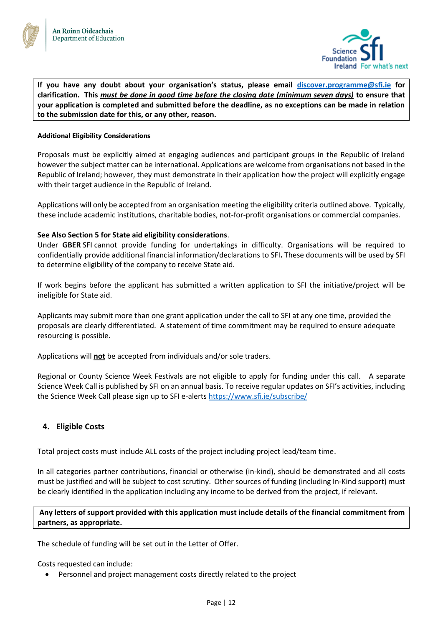



**If you have any doubt about your organisation's status, please email [discover.programme@sfi.ie](mailto:discover.programme@sfi.ie) for clarification. This** *must be done in good time before the closing date (minimum seven days)* **to ensure that your application is completed and submitted before the deadline, as no exceptions can be made in relation to the submission date for this, or any other, reason.**

#### **Additional Eligibility Considerations**

Proposals must be explicitly aimed at engaging audiences and participant groups in the Republic of Ireland however the subject matter can be international. Applications are welcome from organisations not based in the Republic of Ireland; however, they must demonstrate in their application how the project will explicitly engage with their target audience in the Republic of Ireland.

Applications will only be accepted from an organisation meeting the eligibility criteria outlined above. Typically, these include academic institutions, charitable bodies, not-for-profit organisations or commercial companies.

#### **See Also Section 5 for State aid eligibility considerations**.

Under **GBER** SFI cannot provide funding for undertakings in difficulty. Organisations will be required to confidentially provide additional financial information/declarations to SFI**.** These documents will be used by SFI to determine eligibility of the company to receive State aid.

If work begins before the applicant has submitted a written application to SFI the initiative/project will be ineligible for State aid.

Applicants may submit more than one grant application under the call to SFI at any one time, provided the proposals are clearly differentiated. A statement of time commitment may be required to ensure adequate resourcing is possible.

Applications will **not** be accepted from individuals and/or sole traders.

Regional or County Science Week Festivals are not eligible to apply for funding under this call. A separate Science Week Call is published by SFI on an annual basis. To receive regular updates on SFI's activities, including the Science Week Call please sign up to SFI e-alerts https://www.sfi.je/subscribe/

## <span id="page-11-0"></span>**4. Eligible Costs**

Total project costs must include ALL costs of the project including project lead/team time.

In all categories partner contributions, financial or otherwise (in-kind), should be demonstrated and all costs must be justified and will be subject to cost scrutiny. Other sources of funding (including In-Kind support) must be clearly identified in the application including any income to be derived from the project, if relevant.

**Any letters of support provided with this application must include details of the financial commitment from partners, as appropriate.**

The schedule of funding will be set out in the Letter of Offer.

Costs requested can include:

• Personnel and project management costs directly related to the project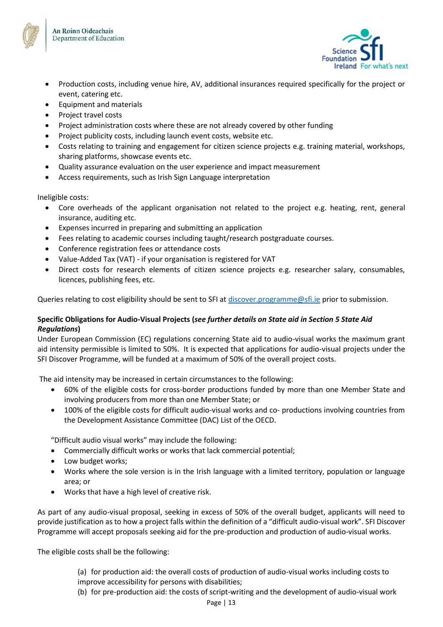



- Production costs, including venue hire, AV, additional insurances required specifically for the project or event, catering etc.
- Equipment and materials
- Project travel costs
- Project administration costs where these are not already covered by other funding
- Project publicity costs, including launch event costs, website etc.
- Costs relating to training and engagement for citizen science projects e.g. training material, workshops, sharing platforms, showcase events etc.
- Quality assurance evaluation on the user experience and impact measurement
- Access requirements, such as Irish Sign Language interpretation

Ineligible costs:

- Core overheads of the applicant organisation not related to the project e.g. heating, rent, general insurance, auditing etc.
- Expenses incurred in preparing and submitting an application
- Fees relating to academic courses including taught/research postgraduate courses.
- Conference registration fees or attendance costs
- Value-Added Tax (VAT) if your organisation is registered for VAT
- Direct costs for research elements of citizen science projects e.g. researcher salary, consumables, licences, publishing fees, etc.

Queries relating to cost eligibility should be sent to SFI at [discover.programme@sfi.ie](mailto:discover.programme@sfi.ie) prior to submission.

## **Specific Obligations for Audio-Visual Projects (***see further details on State aid in Section 5 State Aid Regulations***)**

Under European Commission (EC) regulations concerning State aid to audio-visual works the maximum grant aid intensity permissible is limited to 50%. It is expected that applications for audio-visual projects under the SFI Discover Programme, will be funded at a maximum of 50% of the overall project costs.

The aid intensity may be increased in certain circumstances to the following:

- 60% of the eligible costs for cross-border productions funded by more than one Member State and involving producers from more than one Member State; or
- 100% of the eligible costs for difficult audio-visual works and co- productions involving countries from the Development Assistance Committee (DAC) List of the OECD.

"Difficult audio visual works" may include the following:

- Commercially difficult works or works that lack commercial potential;
- Low budget works;
- Works where the sole version is in the Irish language with a limited territory, population or language area; or
- Works that have a high level of creative risk.

As part of any audio-visual proposal, seeking in excess of 50% of the overall budget, applicants will need to provide justification as to how a project falls within the definition of a "difficult audio-visual work". SFI Discover Programme will accept proposals seeking aid for the pre-production and production of audio-visual works.

The eligible costs shall be the following:

(a) for production aid: the overall costs of production of audio-visual works including costs to improve accessibility for persons with disabilities;

(b) for pre-production aid: the costs of script-writing and the development of audio-visual work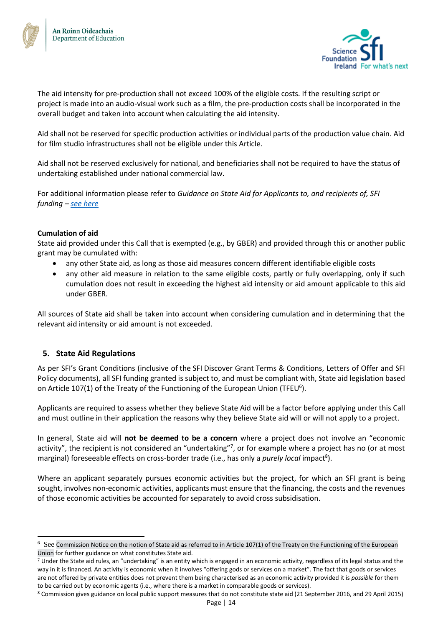



The aid intensity for pre-production shall not exceed 100% of the eligible costs. If the resulting script or project is made into an audio-visual work such as a film, the pre-production costs shall be incorporated in the overall budget and taken into account when calculating the aid intensity.

Aid shall not be reserved for specific production activities or individual parts of the production value chain. Aid for film studio infrastructures shall not be eligible under this Article.

Aid shall not be reserved exclusively for national, and beneficiaries shall not be required to have the status of undertaking established under national commercial law.

For additional information please refer to *Guidance on State Aid for Applicants to, and recipients of, SFI funding – [see here](https://www.sfi.ie/funding/sfi-policies-and-guidance/state-aid/)*

## **Cumulation of aid**

State aid provided under this Call that is exempted (e.g., by GBER) and provided through this or another public grant may be cumulated with:

- any other State aid, as long as those aid measures concern different identifiable eligible costs
- any other aid measure in relation to the same eligible costs, partly or fully overlapping, only if such cumulation does not result in exceeding the highest aid intensity or aid amount applicable to this aid under GBER.

All sources of State aid shall be taken into account when considering cumulation and in determining that the relevant aid intensity or aid amount is not exceeded.

# <span id="page-13-0"></span>**5. State Aid Regulations**

As per SFI's Grant Conditions (inclusive of the SFI Discover Grant Terms & Conditions, Letters of Offer and SFI Policy documents), all SFI funding granted is subject to, and must be compliant with, State aid legislation based on Article 107(1) of the Treaty of the Functioning of the European Union (TFEU<sup>6</sup>).

Applicants are required to assess whether they believe State Aid will be a factor before applying under this Call and must outline in their application the reasons why they believe State aid will or will not apply to a project.

In general, State aid will **not be deemed to be a concern** where a project does not involve an "economic activity", the recipient is not considered an "undertaking"7, or for example where a project has no (or at most marginal) foreseeable effects on cross-border trade (i.e., has only a *purely local* impact<sup>8</sup>).

Where an applicant separately pursues economic activities but the project, for which an SFI grant is being sought, involves non-economic activities, applicants must ensure that the financing, the costs and the revenues of those economic activities be accounted for separately to avoid cross subsidisation.

 $6$  See Commission Notice on the notion of State aid as referred to in Article 107(1) of the Treaty on the Functioning of the European [Union](https://eur-lex.europa.eu/legal-content/EN/TXT/PDF/?uri=CELEX:52016XC0719(05)&from=EN) for further guidance on what constitutes State aid.

<sup>&</sup>lt;sup>7</sup> Under the State aid rules, an "undertaking" is an entity which is engaged in an economic activity, regardless of its legal status and the way in it is financed. An activity is economic when it involves "offering gods or services on a market". The fact that goods or services are not offered by private entities does not prevent them being characterised as an economic activity provided it is *possible* for them to be carried out by economic agents (i.e., where there is a market in comparable goods or services).

<sup>8</sup> Commission gives guidance on local public support measures that do not constitute state aid (21 September 2016, and 29 April 2015)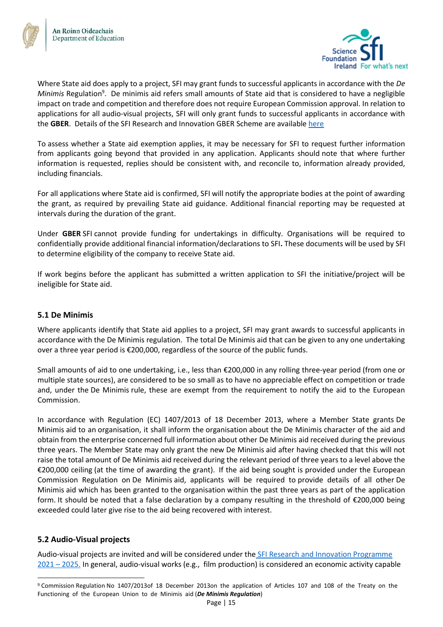



Where State aid does apply to a project, SFI may grant funds to successful applicants in accordance with the *De*  Minimis Regulation<sup>9</sup>. De minimis aid refers small amounts of State aid that is considered to have a negligible impact on trade and competition and therefore does not require European Commission approval. In relation to applications for all audio-visual projects, SFI will only grant funds to successful applicants in accordance with the **GBER**. Details of the SFI Research and Innovation GBER Scheme are availabl[e here](https://www.sfi.ie/funding/sfi-policies-and-guidance/state-aid/SFI-Research-and-Innovation-GBER-Scheme.pdf)

To assess whether a State aid exemption applies, it may be necessary for SFI to request further information from applicants going beyond that provided in any application. Applicants should note that where further information is requested, replies should be consistent with, and reconcile to, information already provided, including financials.

For all applications where State aid is confirmed, SFI will notify the appropriate bodies at the point of awarding the grant, as required by prevailing State aid guidance. Additional financial reporting may be requested at intervals during the duration of the grant.

Under **GBER** SFI cannot provide funding for undertakings in difficulty. Organisations will be required to confidentially provide additional financial information/declarations to SFI**.** These documents will be used by SFI to determine eligibility of the company to receive State aid.

If work begins before the applicant has submitted a written application to SFI the initiative/project will be ineligible for State aid.

## <span id="page-14-0"></span>**5.1 De Minimis**

Where applicants identify that State aid applies to a project, SFI may grant awards to successful applicants in accordance with the De Minimis regulation. The total De Minimis aid that can be given to any one undertaking over a three year period is €200,000, regardless of the source of the public funds.

Small amounts of aid to one undertaking, i.e., less than €200,000 in any rolling three-year period (from one or multiple state sources), are considered to be so small as to have no appreciable effect on competition or trade and, under the De Minimis rule, these are exempt from the requirement to notify the aid to the European Commission.

In accordance with Regulation (EC) 1407/2013 of 18 December 2013, where a Member State grants De Minimis aid to an organisation, it shall inform the organisation about the De Minimis character of the aid and obtain from the enterprise concerned full information about other De Minimis aid received during the previous three years. The Member State may only grant the new De Minimis aid after having checked that this will not raise the total amount of De Minimis aid received during the relevant period of three years to a level above the €200,000 ceiling (at the time of awarding the grant). If the aid being sought is provided under the European Commission Regulation on De Minimis aid, applicants will be required to provide details of all other De Minimis aid which has been granted to the organisation within the past three years as part of the application form. It should be noted that a false declaration by a company resulting in the threshold of €200,000 being exceeded could later give rise to the aid being recovered with interest.

# <span id="page-14-1"></span>**5.2 Audio-Visual projects**

Audio-visual projects are invited and will be considered under the [SFI Research and Innovation Programme](https://www.sfi.ie/funding/sfi-policies-and-guidance/state-aid/SFI-Research-and-Innovation-GBER-Scheme.pdf)  2021 – [2025.](https://www.sfi.ie/funding/sfi-policies-and-guidance/state-aid/SFI-Research-and-Innovation-GBER-Scheme.pdf) In general, audio-visual works (e.g., film production) is considered an economic activity capable

<sup>9</sup> Commission Regulation No 1407/2013of 18 December 2013on the application of Articles 107 and 108 of the Treaty on the Functioning of the European Union to de Minimis aid (*De Minimis Regulation*)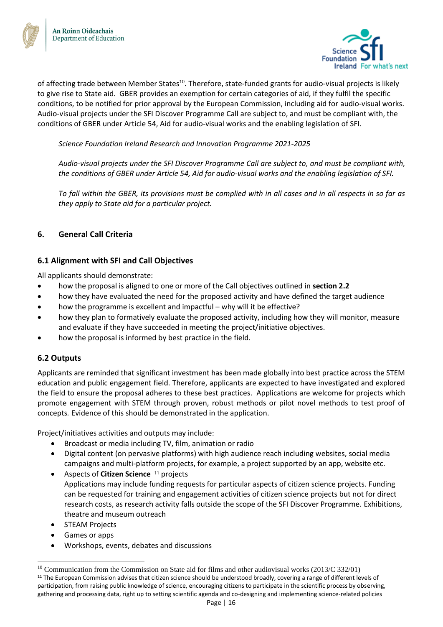



of affecting trade between Member States<sup>10</sup>. Therefore, state-funded grants for audio-visual projects is likely to give rise to State aid. GBER provides an exemption for certain categories of aid, if they fulfil the specific conditions, to be notified for prior approval by the European Commission, including aid for audio-visual works. Audio-visual projects under the SFI Discover Programme Call are subject to, and must be compliant with, the conditions of GBER under Article 54, Aid for audio-visual works and the enabling legislation of SFI.

*Science Foundation Ireland Research and Innovation Programme 2021-2025*

*Audio-visual projects under the SFI Discover Programme Call are subject to, and must be compliant with, the conditions of GBER under Article 54, Aid for audio-visual works and the enabling legislation of SFI.* 

*To fall within the GBER, its provisions must be complied with in all cases and in all respects in so far as they apply to State aid for a particular project.* 

## <span id="page-15-0"></span>**6. General Call Criteria**

## <span id="page-15-1"></span>**6.1 Alignment with SFI and Call Objectives**

All applicants should demonstrate:

- how the proposal is aligned to one or more of the Call objectives outlined in **section 2.2**
- how they have evaluated the need for the proposed activity and have defined the target audience
- how the programme is excellent and impactful why will it be effective?
- how they plan to formatively evaluate the proposed activity, including how they will monitor, measure and evaluate if they have succeeded in meeting the project/initiative objectives.
- how the proposal is informed by best practice in the field.

## <span id="page-15-2"></span>**6.2 Outputs**

Applicants are reminded that significant investment has been made globally into best practice across the STEM education and public engagement field. Therefore, applicants are expected to have investigated and explored the field to ensure the proposal adheres to these best practices. Applications are welcome for projects which promote engagement with STEM through proven, robust methods or pilot novel methods to test proof of concepts*.* Evidence of this should be demonstrated in the application.

Project/initiatives activities and outputs may include:

- Broadcast or media including TV, film, animation or radio
- Digital content (on pervasive platforms) with high audience reach including websites, social media campaigns and multi-platform projects, for example, a project supported by an app, website etc.
- Aspects of **Citizen Science** <sup>11</sup> projects Applications may include funding requests for particular aspects of citizen science projects. Funding can be requested for training and engagement activities of citizen science projects but not for direct research costs, as research activity falls outside the scope of the SFI Discover Programme. Exhibitions, theatre and museum outreach
- **STEAM Projects**
- Games or apps
- Workshops, events, debates and discussions

<sup>&</sup>lt;sup>10</sup> Communication from the Commission on State aid for films and other audiovisual works (2013/C 332/01) <sup>11</sup> The European Commission advises that citizen science should be understood broadly, covering a range of different levels of participation, from raising public knowledge of science, encouraging citizens to participate in the scientific process by observing, gathering and processing data, right up to setting scientific agenda and co-designing and implementing science-related policies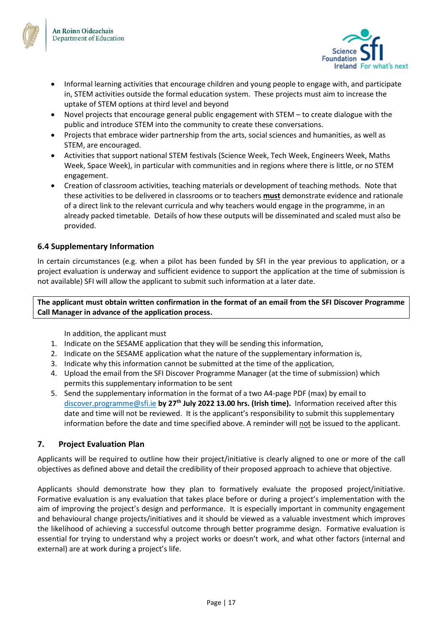



- Informal learning activities that encourage children and young people to engage with, and participate in, STEM activities outside the formal education system. These projects must aim to increase the uptake of STEM options at third level and beyond
- Novel projects that encourage general public engagement with STEM to create dialogue with the public and introduce STEM into the community to create these conversations.
- Projects that embrace wider partnership from the arts, social sciences and humanities, as well as STEM, are encouraged.
- Activities that support national STEM festivals (Science Week, Tech Week, Engineers Week, Maths Week, Space Week), in particular with communities and in regions where there is little, or no STEM engagement.
- Creation of classroom activities, teaching materials or development of teaching methods. Note that these activities to be delivered in classrooms or to teachers **must** demonstrate evidence and rationale of a direct link to the relevant curricula and why teachers would engage in the programme, in an already packed timetable. Details of how these outputs will be disseminated and scaled must also be provided.

## <span id="page-16-0"></span>**6.4 Supplementary Information**

In certain circumstances (e.g. when a pilot has been funded by SFI in the year previous to application, or a project evaluation is underway and sufficient evidence to support the application at the time of submission is not available) SFI will allow the applicant to submit such information at a later date.

**The applicant must obtain written confirmation in the format of an email from the SFI Discover Programme Call Manager in advance of the application process.** 

In addition, the applicant must

- 1. Indicate on the SESAME application that they will be sending this information,
- 2. Indicate on the SESAME application what the nature of the supplementary information is,
- 3. Indicate why this information cannot be submitted at the time of the application,
- 4. Upload the email from the SFI Discover Programme Manager (at the time of submission) which permits this supplementary information to be sent
- 5. Send the supplementary information in the format of a two A4-page PDF (max) by email to [discover.programme@sfi.ie](mailto:discover.programme@sfi.ie) **by 27th July 2022 13.00 hrs. (Irish time).** Information received after this date and time will not be reviewed. It is the applicant's responsibility to submit this supplementary information before the date and time specified above. A reminder will not be issued to the applicant.

## <span id="page-16-1"></span>**7. Project Evaluation Plan**

Applicants will be required to outline how their project/initiative is clearly aligned to one or more of the call objectives as defined above and detail the credibility of their proposed approach to achieve that objective.

Applicants should demonstrate how they plan to formatively evaluate the proposed project/initiative. Formative evaluation is any evaluation that takes place before or during a project's implementation with the aim of improving the project's design and performance. It is especially important in community engagement and behavioural change projects/initiatives and it should be viewed as a valuable investment which improves the likelihood of achieving a successful outcome through better programme design. Formative evaluation is essential for trying to understand why a project works or doesn't work, and what other factors (internal and external) are at work during a project's life.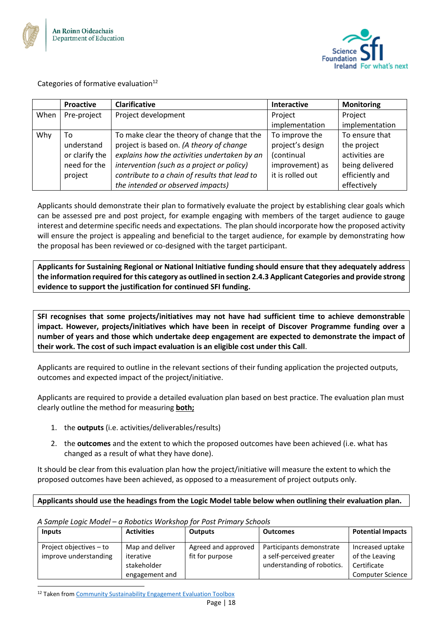



Categories of formative evaluation $12$ 

|      | <b>Proactive</b> | <b>Clarificative</b>                          | Interactive      | <b>Monitoring</b> |
|------|------------------|-----------------------------------------------|------------------|-------------------|
| When | Pre-project      | Project development                           | Project          | Project           |
|      |                  |                                               | implementation   | implementation    |
| Why  | To               | To make clear the theory of change that the   | To improve the   | To ensure that    |
|      | understand       | project is based on. (A theory of change      | project's design | the project       |
|      | or clarify the   | explains how the activities undertaken by an  | (continual       | activities are    |
|      | need for the     | intervention (such as a project or policy)    | improvement) as  | being delivered   |
|      | project          | contribute to a chain of results that lead to | it is rolled out | efficiently and   |
|      |                  | the intended or observed impacts)             |                  | effectively       |

Applicants should demonstrate their plan to formatively evaluate the project by establishing clear goals which can be assessed pre and post project, for example engaging with members of the target audience to gauge interest and determine specific needs and expectations. The plan should incorporate how the proposed activity will ensure the project is appealing and beneficial to the target audience, for example by demonstrating how the proposal has been reviewed or co-designed with the target participant.

**Applicants for Sustaining Regional or National Initiative funding should ensure that they adequately address the information required for this category as outlined in section 2.4.3 Applicant Categories and provide strong evidence to support the justification for continued SFI funding.** 

**SFI recognises that some projects/initiatives may not have had sufficient time to achieve demonstrable impact. However, projects/initiatives which have been in receipt of Discover Programme funding over a number of years and those which undertake deep engagement are expected to demonstrate the impact of their work. The cost of such impact evaluation is an eligible cost under this Call**.

Applicants are required to outline in the relevant sections of their funding application the projected outputs, outcomes and expected impact of the project/initiative.

Applicants are required to provide a detailed evaluation plan based on best practice. The evaluation plan must clearly outline the method for measuring **both;** 

- 1. the **outputs** (i.e. activities/deliverables/results)
- 2. the **outcomes** and the extent to which the proposed outcomes have been achieved (i.e. what has changed as a result of what they have done).

It should be clear from this evaluation plan how the project/initiative will measure the extent to which the proposed outcomes have been achieved, as opposed to a measurement of project outputs only.

## **Applicants should use the headings from the Logic Model table below when outlining their evaluation plan.**

*A Sample Logic Model – a Robotics Workshop for Post Primary Schools*

| <b>Inputs</b>                                    | <b>Activities</b>                                             | <b>Outputs</b>                         | <b>Outcomes</b>                                                                    | <b>Potential Impacts</b>                                                     |
|--------------------------------------------------|---------------------------------------------------------------|----------------------------------------|------------------------------------------------------------------------------------|------------------------------------------------------------------------------|
| Project objectives - to<br>improve understanding | Map and deliver<br>iterative<br>stakeholder<br>engagement and | Agreed and approved<br>fit for purpose | Participants demonstrate<br>a self-perceived greater<br>understanding of robotics. | Increased uptake<br>of the Leaving<br>Certificate<br><b>Computer Science</b> |

<sup>&</sup>lt;sup>12</sup> Taken fro[m Community Sustainability Engagement Evaluation Toolbox](http://evaluationtoolbox.net.au/)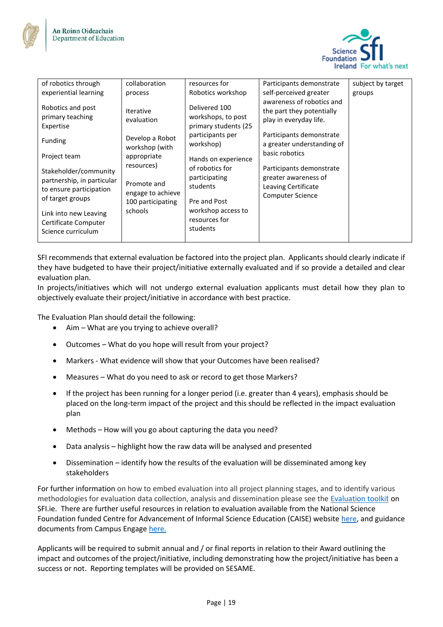



| of robotics through                                                                                | collaboration                                                       | resources for                                                                   | Participants demonstrate                                                                                     | subject by target |
|----------------------------------------------------------------------------------------------------|---------------------------------------------------------------------|---------------------------------------------------------------------------------|--------------------------------------------------------------------------------------------------------------|-------------------|
| experiential learning                                                                              | process                                                             | Robotics workshop                                                               | self-perceived greater                                                                                       | groups            |
| Robotics and post<br>primary teaching<br>Expertise                                                 | <b>Iterative</b><br>evaluation<br>Develop a Robot                   | Delivered 100<br>workshops, to post<br>primary students (25<br>participants per | awareness of robotics and<br>the part they potentially<br>play in everyday life.<br>Participants demonstrate |                   |
| Funding                                                                                            | workshop (with                                                      | workshop)                                                                       | a greater understanding of                                                                                   |                   |
| Project team                                                                                       | appropriate                                                         | Hands on experience                                                             | basic robotics                                                                                               |                   |
| Stakeholder/community<br>partnership, in particular<br>to ensure participation<br>of target groups | resources)<br>Promote and<br>engage to achieve<br>100 participating | of robotics for<br>participating<br>students<br>Pre and Post                    | Participants demonstrate<br>greater awareness of<br>Leaving Certificate<br><b>Computer Science</b>           |                   |
| Link into new Leaving<br>Certificate Computer<br>Science curriculum                                | schools                                                             | workshop access to<br>resources for<br>students                                 |                                                                                                              |                   |

SFI recommends that external evaluation be factored into the project plan. Applicants should clearly indicate if they have budgeted to have their project/initiative externally evaluated and if so provide a detailed and clear evaluation plan.

In projects/initiatives which will not undergo external evaluation applicants must detail how they plan to objectively evaluate their project/initiative in accordance with best practice.

The Evaluation Plan should detail the following:

- Aim What are you trying to achieve overall?
- Outcomes What do you hope will result from your project?
- Markers What evidence will show that your Outcomes have been realised?
- Measures What do you need to ask or record to get those Markers?
- If the project has been running for a longer period (i.e. greater than 4 years), emphasis should be placed on the long-term impact of the project and this should be reflected in the impact evaluation plan
- Methods How will you go about capturing the data you need?
- Data analysis highlight how the raw data will be analysed and presented
- Dissemination identify how the results of the evaluation will be disseminated among key stakeholders

For further information on how to embed evaluation into all project planning stages, and to identify various methodologies for evaluation data collection, analysis and dissemination please see the [Evaluation toolki](https://www.sfi.ie/engagement/sfi-discover/guidance-and-evaluation/)[t](https://www.sfi.ie/engagement/sfi-discover/guidance-and-evaluation/) on SFI.ie. There are further useful resources in relation to evaluation available from the National Science Foundation funded Centre for Advancement of Informal Science Education (CAISE) website [here,](http://www.informalscience.org/evaluation) and guidance documents from Campus Engage [here.](https://www.campusengage.ie/what-we-do/publications/)

Applicants will be required to submit annual and / or final reports in relation to their Award outlining the impact and outcomes of the project/initiative, including demonstrating how the project/initiative has been a success or not. Reporting templates will be provided on SESAME.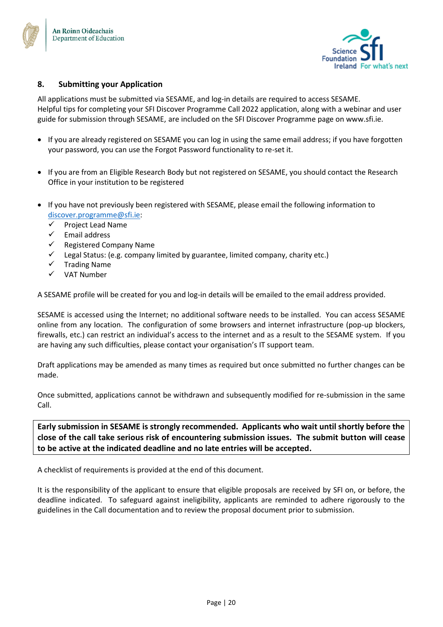



## <span id="page-19-0"></span>**8. Submitting your Application**

All applications must be submitted via SESAME, and log-in details are required to access SESAME. Helpful tips for completing your SFI Discover Programme Call 2022 application, along with a webinar and user guide for submission through SESAME, are included on the SFI Discover Programme page on www.sfi.ie.

- If you are already registered on SESAME you can log in using the same email address; if you have forgotten your password, you can use the Forgot Password functionality to re-set it.
- If you are from an Eligible Research Body but not registered on SESAME, you should contact the Research Office in your institution to be registered
- If you have not previously been registered with SESAME, please email the following information to [discover.programme@sfi.ie:](mailto:discover.programme@sfi.ie)
	- ✓ Project Lead Name
	- ✓ Email address
	- Registered Company Name
	- Legal Status: (e.g. company limited by guarantee, limited company, charity etc.)
	- ✓ Trading Name
	- ✓ VAT Number

A SESAME profile will be created for you and log-in details will be emailed to the email address provided.

SESAME is accessed using the Internet; no additional software needs to be installed. You can access SESAME online from any location. The configuration of some browsers and internet infrastructure (pop-up blockers, firewalls, etc.) can restrict an individual's access to the internet and as a result to the SESAME system. If you are having any such difficulties, please contact your organisation's IT support team.

Draft applications may be amended as many times as required but once submitted no further changes can be made.

Once submitted, applications cannot be withdrawn and subsequently modified for re-submission in the same Call.

**Early submission in SESAME is strongly recommended. Applicants who wait until shortly before the close of the call take serious risk of encountering submission issues. The submit button will cease to be active at the indicated deadline and no late entries will be accepted.** 

A checklist of requirements is provided at the end of this document.

It is the responsibility of the applicant to ensure that eligible proposals are received by SFI on, or before, the deadline indicated. To safeguard against ineligibility, applicants are reminded to adhere rigorously to the guidelines in the Call documentation and to review the proposal document prior to submission.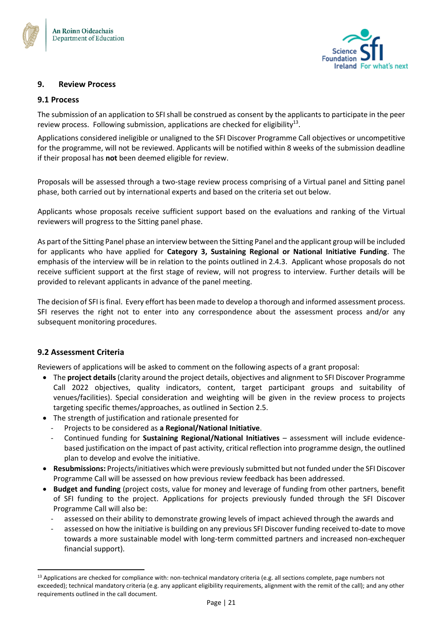



## <span id="page-20-0"></span>**9. Review Process**

#### <span id="page-20-1"></span>**9.1 Process**

The submission of an application to SFI shall be construed as consent by the applicants to participate in the peer review process. Following submission, applications are checked for eligibility<sup>13</sup>.

Applications considered ineligible or unaligned to the SFI Discover Programme Call objectives or uncompetitive for the programme, will not be reviewed. Applicants will be notified within 8 weeks of the submission deadline if their proposal has **not** been deemed eligible for review.

Proposals will be assessed through a two-stage review process comprising of a Virtual panel and Sitting panel phase, both carried out by international experts and based on the criteria set out below.

Applicants whose proposals receive sufficient support based on the evaluations and ranking of the Virtual reviewers will progress to the Sitting panel phase.

As part of the Sitting Panel phase an interview between the Sitting Panel and the applicant group will be included for applicants who have applied for **Category 3, Sustaining Regional or National Initiative Funding**. The emphasis of the interview will be in relation to the points outlined in 2.4.3. Applicant whose proposals do not receive sufficient support at the first stage of review, will not progress to interview. Further details will be provided to relevant applicants in advance of the panel meeting.

The decision of SFI is final. Every effort has been made to develop a thorough and informed assessment process. SFI reserves the right not to enter into any correspondence about the assessment process and/or any subsequent monitoring procedures.

## <span id="page-20-2"></span>**9.2 Assessment Criteria**

Reviewers of applications will be asked to comment on the following aspects of a grant proposal:

- The **project details** (clarity around the project details, objectives and alignment to SFI Discover Programme Call 2022 objectives, quality indicators, content, target participant groups and suitability of venues/facilities). Special consideration and weighting will be given in the review process to projects targeting specific themes/approaches, as outlined in Section 2.5.
- The strength of justification and rationale presented for
	- Projects to be considered as **a Regional/National Initiative**.
	- Continued funding for **Sustaining Regional/National Initiatives** assessment will include evidencebased justification on the impact of past activity, critical reflection into programme design, the outlined plan to develop and evolve the initiative.
- **Resubmissions:** Projects/initiatives which were previously submitted but not funded under the SFI Discover Programme Call will be assessed on how previous review feedback has been addressed.
- **Budget and funding** (project costs, value for money and leverage of funding from other partners, benefit of SFI funding to the project. Applications for projects previously funded through the SFI Discover Programme Call will also be:
	- assessed on their ability to demonstrate growing levels of impact achieved through the awards and
	- assessed on how the initiative is building on any previous SFI Discover funding received to-date to move towards a more sustainable model with long-term committed partners and increased non-exchequer financial support).

<sup>&</sup>lt;sup>13</sup> Applications are checked for compliance with: non-technical mandatory criteria (e.g. all sections complete, page numbers not exceeded); technical mandatory criteria (e.g. any applicant eligibility requirements, alignment with the remit of the call); and any other requirements outlined in the call document.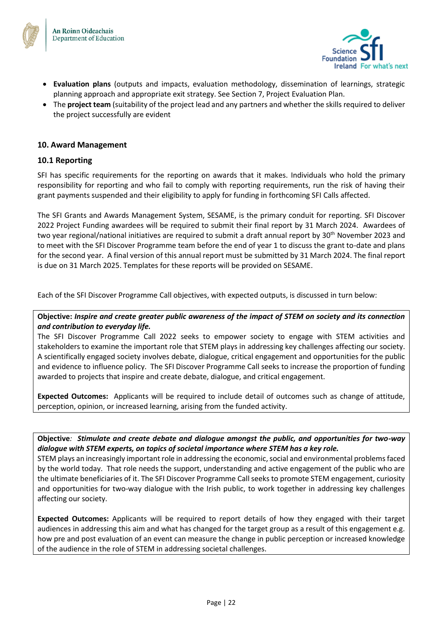



- **Evaluation plans** (outputs and impacts, evaluation methodology, dissemination of learnings, strategic planning approach and appropriate exit strategy. See Section 7, Project Evaluation Plan.
- The **project team** (suitability of the project lead and any partners and whether the skills required to deliver the project successfully are evident

#### <span id="page-21-0"></span>**10. Award Management**

#### <span id="page-21-1"></span>**10.1 Reporting**

SFI has specific requirements for the reporting on awards that it makes. Individuals who hold the primary responsibility for reporting and who fail to comply with reporting requirements, run the risk of having their grant payments suspended and their eligibility to apply for funding in forthcoming SFI Calls affected.

The SFI Grants and Awards Management System, SESAME, is the primary conduit for reporting. SFI Discover 2022 Project Funding awardees will be required to submit their final report by 31 March 2024. Awardees of two year regional/national initiatives are required to submit a draft annual report by 30<sup>th</sup> November 2023 and to meet with the SFI Discover Programme team before the end of year 1 to discuss the grant to-date and plans for the second year. A final version of this annual report must be submitted by 31 March 2024. The final report is due on 31 March 2025. Templates for these reports will be provided on SESAME.

Each of the SFI Discover Programme Call objectives, with expected outputs, is discussed in turn below:

## **Objective:** *Inspire and create greater public awareness of the impact of STEM on society and its connection and contribution to everyday life.*

The SFI Discover Programme Call 2022 seeks to empower society to engage with STEM activities and stakeholders to examine the important role that STEM plays in addressing key challenges affecting our society. A scientifically engaged society involves debate, dialogue, critical engagement and opportunities for the public and evidence to influence policy. The SFI Discover Programme Call seeks to increase the proportion of funding awarded to projects that inspire and create debate, dialogue, and critical engagement.

**Expected Outcomes:** Applicants will be required to include detail of outcomes such as change of attitude, perception, opinion, or increased learning, arising from the funded activity.

**Objective***: Stimulate and create debate and dialogue amongst the public, and opportunities for two-way dialogue with STEM experts, on topics of societal importance where STEM has a key role.* 

STEM plays an increasingly important role in addressing the economic, social and environmental problems faced by the world today. That role needs the support, understanding and active engagement of the public who are the ultimate beneficiaries of it. The SFI Discover Programme Call seeks to promote STEM engagement, curiosity and opportunities for two-way dialogue with the Irish public, to work together in addressing key challenges affecting our society.

**Expected Outcomes:** Applicants will be required to report details of how they engaged with their target audiences in addressing this aim and what has changed for the target group as a result of this engagement e.g. how pre and post evaluation of an event can measure the change in public perception or increased knowledge of the audience in the role of STEM in addressing societal challenges.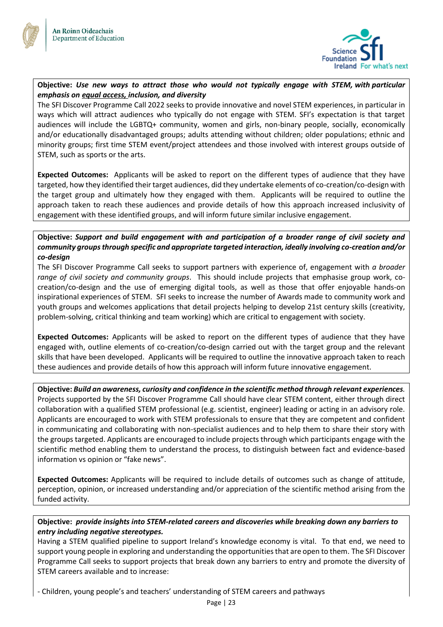



## **Objective:** *Use new ways to attract those who would not typically engage with STEM, with particular emphasis on equal access, inclusion, and diversity*

The SFI Discover Programme Call 2022 seeks to provide innovative and novel STEM experiences, in particular in ways which will attract audiences who typically do not engage with STEM. SFI's expectation is that target audiences will include the LGBTQ+ community, women and girls, non-binary people, socially, economically and/or educationally disadvantaged groups; adults attending without children; older populations; ethnic and minority groups; first time STEM event/project attendees and those involved with interest groups outside of STEM, such as sports or the arts.

**Expected Outcomes:** Applicants will be asked to report on the different types of audience that they have targeted, how they identified their target audiences, did they undertake elements of co-creation/co-design with the target group and ultimately how they engaged with them. Applicants will be required to outline the approach taken to reach these audiences and provide details of how this approach increased inclusivity of engagement with these identified groups, and will inform future similar inclusive engagement.

## **Objective:** *Support and build engagement with and participation of a broader range of civil society and community groups through specific and appropriate targeted interaction, ideally involving co-creation and/or co-design*

The SFI Discover Programme Call seeks to support partners with experience of, engagement with *a broader range of civil society and community groups*. This should include projects that emphasise group work, cocreation/co-design and the use of emerging digital tools, as well as those that offer enjoyable hands-on inspirational experiences of STEM. SFI seeks to increase the number of Awards made to community work and youth groups and welcomes applications that detail projects helping to develop 21st century skills (creativity, problem-solving, critical thinking and team working) which are critical to engagement with society.

**Expected Outcomes:** Applicants will be asked to report on the different types of audience that they have engaged with, outline elements of co-creation/co-design carried out with the target group and the relevant skills that have been developed. Applicants will be required to outline the innovative approach taken to reach these audiences and provide details of how this approach will inform future innovative engagement.

**Objective:** *Build an awareness, curiosity and confidence in the scientific method through relevant experiences.* Projects supported by the SFI Discover Programme Call should have clear STEM content, either through direct collaboration with a qualified STEM professional (e.g. scientist, engineer) leading or acting in an advisory role. Applicants are encouraged to work with STEM professionals to ensure that they are competent and confident in communicating and collaborating with non-specialist audiences and to help them to share their story with the groups targeted. Applicants are encouraged to include projects through which participants engage with the scientific method enabling them to understand the process, to distinguish between fact and evidence-based information vs opinion or "fake news".

**Expected Outcomes:** Applicants will be required to include details of outcomes such as change of attitude, perception, opinion, or increased understanding and/or appreciation of the scientific method arising from the funded activity.

## **Objective:** *provide insights into STEM-related careers and discoveries while breaking down any barriers to entry including negative stereotypes.*

Having a STEM qualified pipeline to support Ireland's knowledge economy is vital. To that end, we need to support young people in exploring and understanding the opportunities that are open to them. The SFI Discover Programme Call seeks to support projects that break down any barriers to entry and promote the diversity of STEM careers available and to increase:

- Children, young people's and teachers' understanding of STEM careers and pathways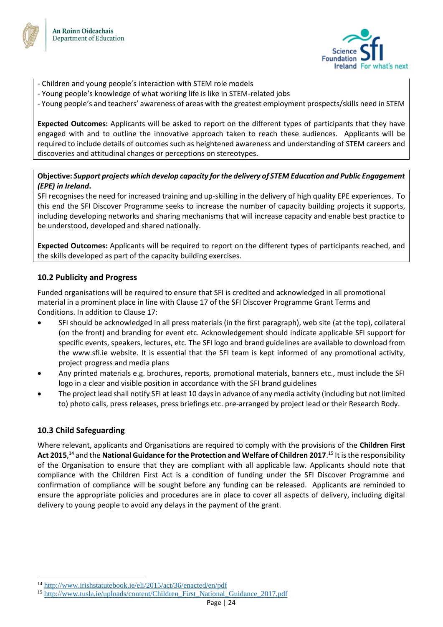



- Children and young people's interaction with STEM role models
- Young people's knowledge of what working life is like in STEM-related jobs
- Young people's and teachers' awareness of areas with the greatest employment prospects/skills need in STEM

**Expected Outcomes:** Applicants will be asked to report on the different types of participants that they have engaged with and to outline the innovative approach taken to reach these audiences. Applicants will be required to include details of outcomes such as heightened awareness and understanding of STEM careers and discoveries and attitudinal changes or perceptions on stereotypes.

## **Objective:** *Support projects which develop capacity for the delivery of STEM Education and Public Engagement (EPE) in Ireland***.**

SFI recognises the need for increased training and up-skilling in the delivery of high quality EPE experiences. To this end the SFI Discover Programme seeks to increase the number of capacity building projects it supports, including developing networks and sharing mechanisms that will increase capacity and enable best practice to be understood, developed and shared nationally.

**Expected Outcomes:** Applicants will be required to report on the different types of participants reached, and the skills developed as part of the capacity building exercises.

## <span id="page-23-0"></span>**10.2 Publicity and Progress**

Funded organisations will be required to ensure that SFI is credited and acknowledged in all promotional material in a prominent place in line with Clause 17 of the SFI Discover Programme Grant Terms and Conditions. In addition to Clause 17:

- SFI should be acknowledged in all press materials (in the first paragraph), web site (at the top), collateral (on the front) and branding for event etc. Acknowledgement should indicate applicable SFI support for specific events, speakers, lectures, etc. The SFI logo and brand guidelines are available to download from the www.sfi.ie website. It is essential that the SFI team is kept informed of any promotional activity, project progress and media plans
- Any printed materials e.g. brochures, reports, promotional materials, banners etc., must include the SFI logo in a clear and visible position in accordance with the SFI brand guidelines
- The project lead shall notify SFI at least 10 days in advance of any media activity (including but not limited to) photo calls, press releases, press briefings etc. pre-arranged by project lead or their Research Body.

## <span id="page-23-1"></span>**10.3 Child Safeguarding**

Where relevant, applicants and Organisations are required to comply with the provisions of the **Children First Act 2015**, <sup>14</sup> and the **National Guidance for the Protection and Welfare of Children 2017**. <sup>15</sup> It is the responsibility of the Organisation to ensure that they are compliant with all applicable law. Applicants should note that compliance with the Children First Act is a condition of funding under the SFI Discover Programme and confirmation of compliance will be sought before any funding can be released. Applicants are reminded to ensure the appropriate policies and procedures are in place to cover all aspects of delivery, including digital delivery to young people to avoid any delays in the payment of the grant.

<sup>14</sup> <http://www.irishstatutebook.ie/eli/2015/act/36/enacted/en/pdf>

<sup>15</sup> [http://www.tusla.ie/uploads/content/Children\\_First\\_National\\_Guidance\\_2017.pdf](http://www.tusla.ie/uploads/content/Children_First_National_Guidance_2017.pdf)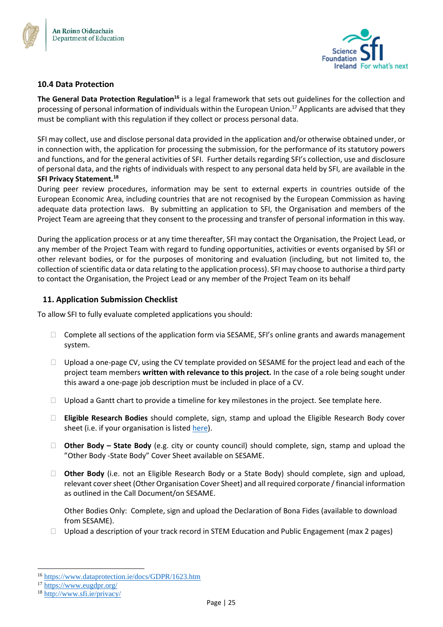



## <span id="page-24-0"></span>**10.4 Data Protection**

**The General Data Protection Regulation<sup>16</sup>** is a legal framework that sets out guidelines for the collection and processing of personal information of individuals within the European Union.<sup>17</sup> Applicants are advised that they must be compliant with this regulation if they collect or process personal data.

SFI may collect, use and disclose personal data provided in the application and/or otherwise obtained under, or in connection with, the application for processing the submission, for the performance of its statutory powers and functions, and for the general activities of SFI. Further details regarding SFI's collection, use and disclosure of personal data, and the rights of individuals with respect to any personal data held by SFI, are available in the **SFI Privacy Statement.<sup>18</sup>**

During peer review procedures, information may be sent to external experts in countries outside of the European Economic Area, including countries that are not recognised by the European Commission as having adequate data protection laws. By submitting an application to SFI, the Organisation and members of the Project Team are agreeing that they consent to the processing and transfer of personal information in this way.

During the application process or at any time thereafter, SFI may contact the Organisation, the Project Lead, or any member of the Project Team with regard to funding opportunities, activities or events organised by SFI or other relevant bodies, or for the purposes of monitoring and evaluation (including, but not limited to, the collection of scientific data or data relating to the application process). SFI may choose to authorise a third party to contact the Organisation, the Project Lead or any member of the Project Team on its behalf

## <span id="page-24-1"></span>**11. Application Submission Checklist**

To allow SFI to fully evaluate completed applications you should:

- $\Box$  Complete all sections of the application form via SESAME, SFI's online grants and awards management system.
- $\Box$  Upload a one-page CV, using the CV template provided on SESAME for the project lead and each of the project team members **written with relevance to this project.** In the case of a role being sought under this award a one-page job description must be included in place of a CV.
- $\Box$  Upload a Gantt chart to provide a timeline for key milestones in the project. See template here.
- **Eligible Research Bodies** should complete, sign, stamp and upload the Eligible Research Body cover sheet (i.e. if your organisation is liste[d here\)](https://www.sfi.ie/funding/sfi-policies-and-guidance/eligibility-related-information/).
- **Other Body – State Body** (e.g. city or county council) should complete, sign, stamp and upload the "Other Body -State Body" Cover Sheet available on SESAME.
- □ **Other Body** (i.e. not an Eligible Research Body or a State Body) should complete, sign and upload, relevant cover sheet (Other Organisation Cover Sheet) and all required corporate / financial information as outlined in the Call Document/on SESAME.

Other Bodies Only: Complete, sign and upload the Declaration of Bona Fides (available to download from SESAME).

 $\Box$  Upload a description of your track record in STEM Education and Public Engagement (max 2 pages)

<sup>16</sup> <https://www.dataprotection.ie/docs/GDPR/1623.htm>

<sup>17</sup> <https://www.eugdpr.org/>

<sup>18</sup> <http://www.sfi.ie/privacy/>